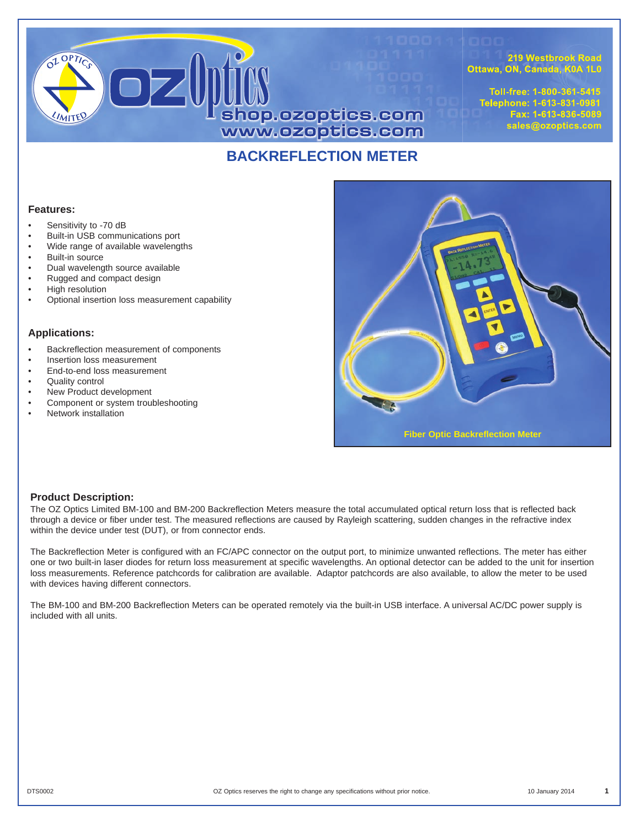

219 Westbrook Road Ottawa, ON, Canada, K0A 1L0

Toll-free: 1-800-361-5415 Telephone: 1-613-831-0981 Fax: 1-613-836-5089 sales@ozoptics.com

# **BACKREFLECTION METER**

#### **Features:**

- Sensitivity to -70 dB
- Built-in USB communications port
- Wide range of available wavelengths
- Built-in source
- Dual wavelength source available
- Rugged and compact design
- **High resolution**
- Optional insertion loss measurement capability

#### **Applications:**

- Backreflection measurement of components
- Insertion loss measurement
- End-to-end loss measurement
- Quality control
- New Product development
- Component or system troubleshooting
- Network installation



#### **Product Description:**

The OZ Optics Limited BM-100 and BM-200 Backreflection Meters measure the total accumulated optical return loss that is reflected back through a device or fiber under test. The measured reflections are caused by Rayleigh scattering, sudden changes in the refractive index within the device under test (DUT), or from connector ends.

The Backreflection Meter is configured with an FC/APC connector on the output port, to minimize unwanted reflections. The meter has either one or two built-in laser diodes for return loss measurement at specific wavelengths. An optional detector can be added to the unit for insertion loss measurements. Reference patchcords for calibration are available. Adaptor patchcords are also available, to allow the meter to be used with devices having different connectors.

The BM-100 and BM-200 Backreflection Meters can be operated remotely via the built-in USB interface. A universal AC/DC power supply is included with all units.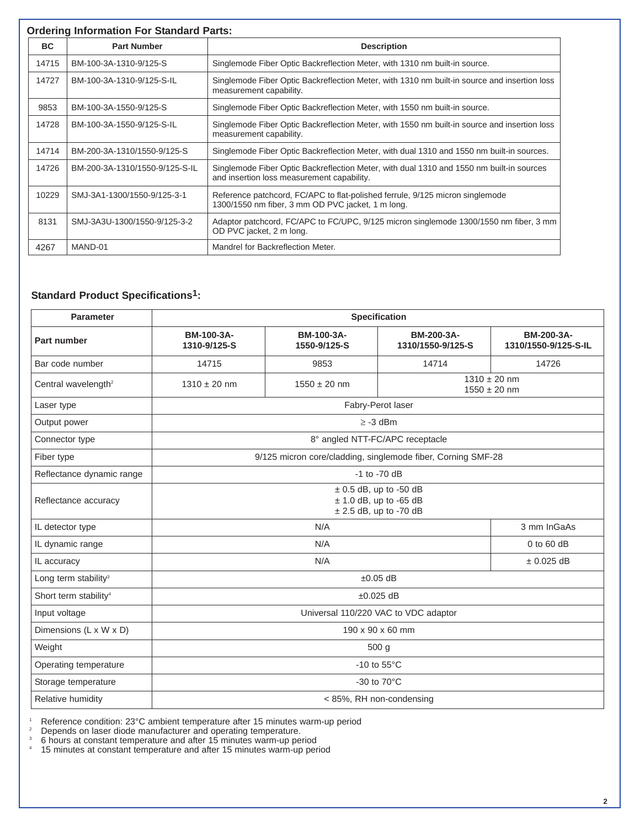| <b>Ordering Information For Standard Parts:</b> |                                |                                                                                                                                        |  |  |
|-------------------------------------------------|--------------------------------|----------------------------------------------------------------------------------------------------------------------------------------|--|--|
| <b>BC</b>                                       | <b>Part Number</b>             | <b>Description</b>                                                                                                                     |  |  |
| 14715                                           | BM-100-3A-1310-9/125-S         | Singlemode Fiber Optic Backreflection Meter, with 1310 nm built-in source.                                                             |  |  |
| 14727                                           | BM-100-3A-1310-9/125-S-IL      | Singlemode Fiber Optic Backreflection Meter, with 1310 nm built-in source and insertion loss<br>measurement capability.                |  |  |
| 9853                                            | BM-100-3A-1550-9/125-S         | Singlemode Fiber Optic Backreflection Meter, with 1550 nm built-in source.                                                             |  |  |
| 14728                                           | BM-100-3A-1550-9/125-S-IL      | Singlemode Fiber Optic Backreflection Meter, with 1550 nm built-in source and insertion loss<br>measurement capability.                |  |  |
| 14714                                           | BM-200-3A-1310/1550-9/125-S    | Singlemode Fiber Optic Backreflection Meter, with dual 1310 and 1550 nm built-in sources.                                              |  |  |
| 14726                                           | BM-200-3A-1310/1550-9/125-S-IL | Singlemode Fiber Optic Backreflection Meter, with dual 1310 and 1550 nm built-in sources<br>and insertion loss measurement capability. |  |  |
| 10229                                           | SMJ-3A1-1300/1550-9/125-3-1    | Reference patchcord, FC/APC to flat-polished ferrule, 9/125 micron singlemode<br>1300/1550 nm fiber, 3 mm OD PVC jacket, 1 m long.     |  |  |
| 8131                                            | SMJ-3A3U-1300/1550-9/125-3-2   | Adaptor patchcord, FC/APC to FC/UPC, 9/125 micron singlemode 1300/1550 nm fiber, 3 mm<br>OD PVC jacket, 2 m long.                      |  |  |
| 4267                                            | MAND-01                        | Mandrel for Backreflection Meter.                                                                                                      |  |  |

# **Standard Product Specifications1:**

| Parameter                         | <b>Specification</b>                                                                   |                            |                                 |                                      |  |  |
|-----------------------------------|----------------------------------------------------------------------------------------|----------------------------|---------------------------------|--------------------------------------|--|--|
| Part number                       | BM-100-3A-<br>1310-9/125-S                                                             | BM-100-3A-<br>1550-9/125-S | BM-200-3A-<br>1310/1550-9/125-S | BM-200-3A-<br>1310/1550-9/125-S-IL   |  |  |
| Bar code number                   | 14715                                                                                  | 9853                       | 14714                           | 14726                                |  |  |
| Central wavelength <sup>2</sup>   | $1310 \pm 20$ nm                                                                       | $1550 \pm 20$ nm           |                                 | $1310 \pm 20$ nm<br>$1550 \pm 20$ nm |  |  |
| Laser type                        | Fabry-Perot laser                                                                      |                            |                                 |                                      |  |  |
| Output power                      | $\geq$ -3 dBm                                                                          |                            |                                 |                                      |  |  |
| Connector type                    | 8° angled NTT-FC/APC receptacle                                                        |                            |                                 |                                      |  |  |
| Fiber type                        | 9/125 micron core/cladding, singlemode fiber, Corning SMF-28                           |                            |                                 |                                      |  |  |
| Reflectance dynamic range         | $-1$ to $-70$ dB                                                                       |                            |                                 |                                      |  |  |
| Reflectance accuracy              | $\pm$ 0.5 dB, up to -50 dB<br>$\pm$ 1.0 dB, up to -65 dB<br>$\pm$ 2.5 dB, up to -70 dB |                            |                                 |                                      |  |  |
| IL detector type                  |                                                                                        | 3 mm InGaAs                |                                 |                                      |  |  |
| IL dynamic range                  |                                                                                        | $0$ to 60 dB               |                                 |                                      |  |  |
| IL accuracy                       |                                                                                        | $\pm$ 0.025 dB             |                                 |                                      |  |  |
| Long term stability <sup>3</sup>  | $\pm 0.05$ dB                                                                          |                            |                                 |                                      |  |  |
| Short term stability <sup>4</sup> | $\pm 0.025$ dB                                                                         |                            |                                 |                                      |  |  |
| Input voltage                     | Universal 110/220 VAC to VDC adaptor                                                   |                            |                                 |                                      |  |  |
| Dimensions (L x W x D)            | 190 x 90 x 60 mm                                                                       |                            |                                 |                                      |  |  |
| Weight                            | 500 <sub>g</sub>                                                                       |                            |                                 |                                      |  |  |
| Operating temperature             | -10 to $55^{\circ}$ C                                                                  |                            |                                 |                                      |  |  |
| Storage temperature               | -30 to $70^{\circ}$ C                                                                  |                            |                                 |                                      |  |  |
| Relative humidity                 | < 85%, RH non-condensing                                                               |                            |                                 |                                      |  |  |

<sup>1</sup> Reference condition: 23°C ambient temperature after 15 minutes warm-up period

 $2$  Depends on laser diode manufacturer and operating temperature.

 $3\quad$  6 hours at constant temperature and after 15 minutes warm-up period

<sup>4</sup> 15 minutes at constant temperature and after 15 minutes warm-up period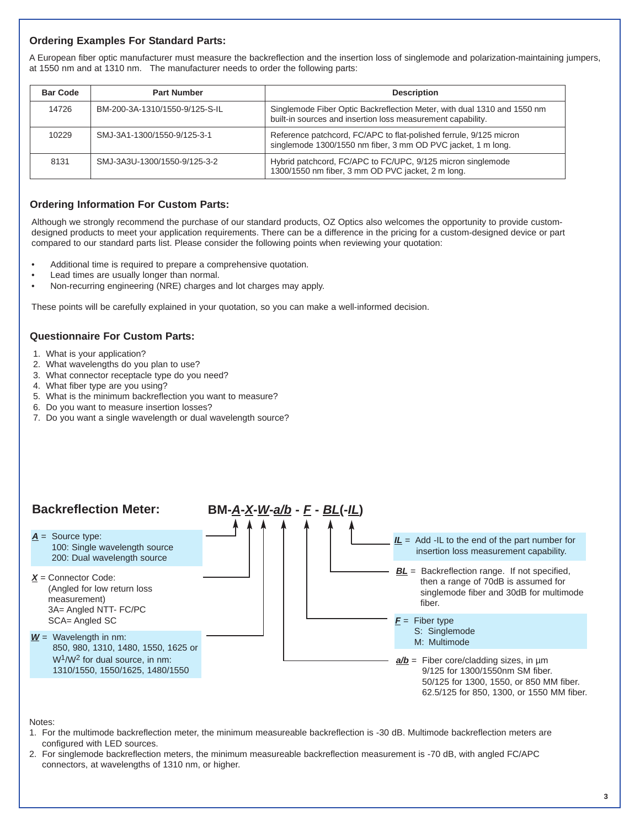### **Ordering Examples For Standard Parts:**

A European fiber optic manufacturer must measure the backreflection and the insertion loss of singlemode and polarization-maintaining jumpers, at 1550 nm and at 1310 nm. The manufacturer needs to order the following parts:

| <b>Bar Code</b> | <b>Part Number</b>             | <b>Description</b>                                                                                                                     |
|-----------------|--------------------------------|----------------------------------------------------------------------------------------------------------------------------------------|
| 14726           | BM-200-3A-1310/1550-9/125-S-IL | Singlemode Fiber Optic Backreflection Meter, with dual 1310 and 1550 nm<br>built-in sources and insertion loss measurement capability. |
| 10229           | SMJ-3A1-1300/1550-9/125-3-1    | Reference patchcord, FC/APC to flat-polished ferrule, 9/125 micron<br>singlemode 1300/1550 nm fiber, 3 mm OD PVC jacket, 1 m long.     |
| 8131            | SMJ-3A3U-1300/1550-9/125-3-2   | Hybrid patchcord, FC/APC to FC/UPC, 9/125 micron singlemode<br>1300/1550 nm fiber, 3 mm OD PVC jacket, 2 m long.                       |

#### **Ordering Information For Custom Parts:**

Although we strongly recommend the purchase of our standard products, OZ Optics also welcomes the opportunity to provide customdesigned products to meet your application requirements. There can be a difference in the pricing for a custom-designed device or part compared to our standard parts list. Please consider the following points when reviewing your quotation:

- Additional time is required to prepare a comprehensive quotation.
- Lead times are usually longer than normal.
- Non-recurring engineering (NRE) charges and lot charges may apply.

These points will be carefully explained in your quotation, so you can make a well-informed decision.

#### **Questionnaire For Custom Parts:**

- 1. What is your application?
- 2. What wavelengths do you plan to use?
- 3. What connector receptacle type do you need?
- 4. What fiber type are you using?
- 5. What is the minimum backreflection you want to measure?
- 6. Do you want to measure insertion losses?
- 7. Do you want a single wavelength or dual wavelength source?



#### Notes:

- 1. For the multimode backreflection meter, the minimum measureable backreflection is -30 dB. Multimode backreflection meters are configured with LED sources.
- 2. For singlemode backreflection meters, the minimum measureable backreflection measurement is -70 dB, with angled FC/APC connectors, at wavelengths of 1310 nm, or higher.